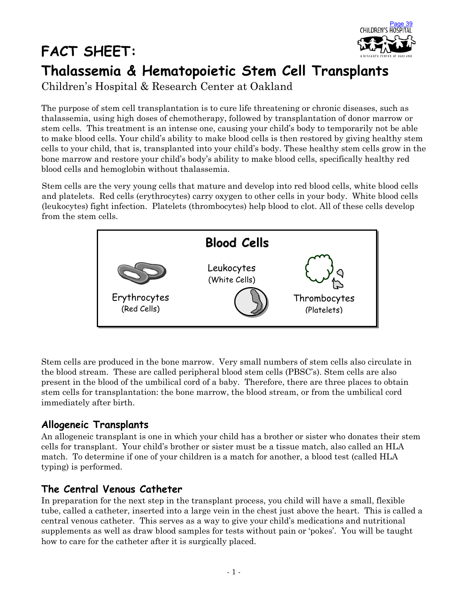

# **Thalassemia & Hematopoietic Stem Cell Transplants**

Children's Hospital & Research Center at Oakland

The purpose of stem cell transplantation is to cure life threatening or chronic diseases, such as thalassemia, using high doses of chemotherapy, followed by transplantation of donor marrow or stem cells. This treatment is an intense one, causing your child's body to temporarily not be able to make blood cells. Your child's ability to make blood cells is then restored by giving healthy stem cells to your child, that is, transplanted into your child's body. These healthy stem cells grow in the bone marrow and restore your child's body's ability to make blood cells, specifically healthy red blood cells and hemoglobin without thalassemia.

Stem cells are the very young cells that mature and develop into red blood cells, white blood cells and platelets. Red cells (erythrocytes) carry oxygen to other cells in your body. White blood cells (leukocytes) fight infection. Platelets (thrombocytes) help blood to clot. All of these cells develop from the stem cells.



Stem cells are produced in the bone marrow. Very small numbers of stem cells also circulate in the blood stream. These are called peripheral blood stem cells (PBSC's). Stem cells are also present in the blood of the umbilical cord of a baby. Therefore, there are three places to obtain stem cells for transplantation: the bone marrow, the blood stream, or from the umbilical cord immediately after birth.

#### **Allogeneic Transplants**

**FACT SHEET:** 

An allogeneic transplant is one in which your child has a brother or sister who donates their stem cells for transplant. Your child's brother or sister must be a tissue match, also called an HLA match. To determine if one of your children is a match for another, a blood test (called HLA typing) is performed.

#### **The Central Venous Catheter**

In preparation for the next step in the transplant process, you child will have a small, flexible tube, called a catheter, inserted into a large vein in the chest just above the heart. This is called a central venous catheter. This serves as a way to give your child's medications and nutritional supplements as well as draw blood samples for tests without pain or 'pokes'. You will be taught how to care for the catheter after it is surgically placed.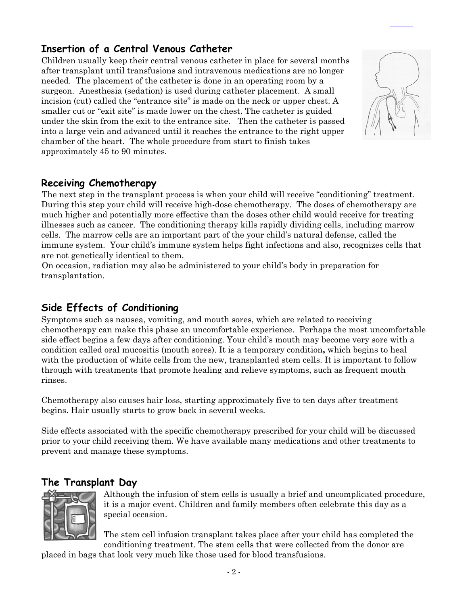## **Insertion of a Central Venous Catheter**

Children usually keep their central venous catheter in place for several months after transplant until transfusions and intravenous medications are no longer needed. The placement of the catheter is done in an operating room by a surgeon. Anesthesia (sedation) is used during catheter placement. A small incision (cut) called the "entrance site" is made on the neck or upper chest. A smaller cut or "exit site" is made lower on the chest. The catheter is guided under the skin from the exit to the entrance site. Then the catheter is passed into a large vein and advanced until it reaches the entrance to the right upper chamber of the heart. The whole procedure from start to finish takes approximately 45 to 90 minutes.



#### **Receiving Chemotherapy**

The next step in the transplant process is when your child will receive "conditioning" treatment. During this step your child will receive high-dose chemotherapy. The doses of chemotherapy are much higher and potentially more effective than the doses other child would receive for treating illnesses such as cancer. The conditioning therapy kills rapidly dividing cells, including marrow cells. The marrow cells are an important part of the your child's natural defense, called the immune system. Your child's immune system helps fight infections and also, recognizes cells that are not genetically identical to them.

On occasion, radiation may also be administered to your child's body in preparation for transplantation.

## **Side Effects of Conditioning**

Symptoms such as nausea, vomiting, and mouth sores, which are related to receiving chemotherapy can make this phase an uncomfortable experience. Perhaps the most uncomfortable side effect begins a few days after conditioning. Your child's mouth may become very sore with a condition called oral mucositis (mouth sores). It is a temporary condition**,** which begins to heal with the production of white cells from the new, transplanted stem cells. It is important to follow through with treatments that promote healing and relieve symptoms, such as frequent mouth rinses.

Chemotherapy also causes hair loss, starting approximately five to ten days after treatment begins. Hair usually starts to grow back in several weeks.

Side effects associated with the specific chemotherapy prescribed for your child will be discussed prior to your child receiving them. We have available many medications and other treatments to prevent and manage these symptoms.

#### **The Transplant Day**



Although the infusion of stem cells is usually a brief and uncomplicated procedure, it is a major event. Children and family members often celebrate this day as a special occasion.

The stem cell infusion transplant takes place after your child has completed the conditioning treatment. The stem cells that were collected from the donor are

placed in bags that look very much like those used for blood transfusions.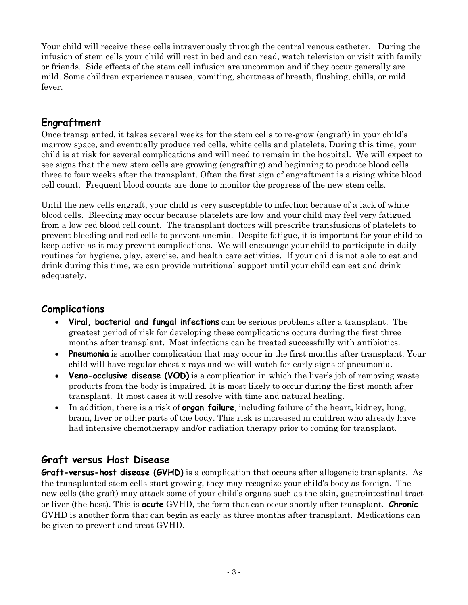Your child will receive these cells intravenously through the central venous catheter. During the infusion of stem cells your child will rest in bed and can read, watch television or visit with family or friends. Side effects of the stem cell infusion are uncommon and if they occur generally are mild. Some children experience nausea, vomiting, shortness of breath, flushing, chills, or mild fever.

## **Engraftment**

Once transplanted, it takes several weeks for the stem cells to re-grow (engraft) in your child's marrow space, and eventually produce red cells, white cells and platelets. During this time, your child is at risk for several complications and will need to remain in the hospital. We will expect to see signs that the new stem cells are growing (engrafting) and beginning to produce blood cells three to four weeks after the transplant. Often the first sign of engraftment is a rising white blood cell count. Frequent blood counts are done to monitor the progress of the new stem cells.

Until the new cells engraft, your child is very susceptible to infection because of a lack of white blood cells. Bleeding may occur because platelets are low and your child may feel very fatigued from a low red blood cell count. The transplant doctors will prescribe transfusions of platelets to prevent bleeding and red cells to prevent anemia. Despite fatigue, it is important for your child to keep active as it may prevent complications. We will encourage your child to participate in daily routines for hygiene, play, exercise, and health care activities. If your child is not able to eat and drink during this time, we can provide nutritional support until your child can eat and drink adequately.

#### **Complications**

- **Viral, bacterial and fungal infections** can be serious problems after a transplant. The greatest period of risk for developing these complications occurs during the first three months after transplant. Most infections can be treated successfully with antibiotics.
- **Preumonia** is another complication that may occur in the first months after transplant. Your child will have regular chest x rays and we will watch for early signs of pneumonia.
- **Veno-occlusive disease (VOD)** is a complication in which the liver's job of removing waste products from the body is impaired. It is most likely to occur during the first month after transplant. It most cases it will resolve with time and natural healing.
- In addition, there is a risk of **organ failure**, including failure of the heart, kidney, lung, brain, liver or other parts of the body. This risk is increased in children who already have had intensive chemotherapy and/or radiation therapy prior to coming for transplant.

## **Graft versus Host Disease**

**Graft-versus-host disease (GVHD)** is a complication that occurs after allogeneic transplants. As the transplanted stem cells start growing, they may recognize your child's body as foreign. The new cells (the graft) may attack some of your child's organs such as the skin, gastrointestinal tract or liver (the host). This is **acute** GVHD, the form that can occur shortly after transplant. **Chronic** GVHD is another form that can begin as early as three months after transplant. Medications can be given to prevent and treat GVHD.